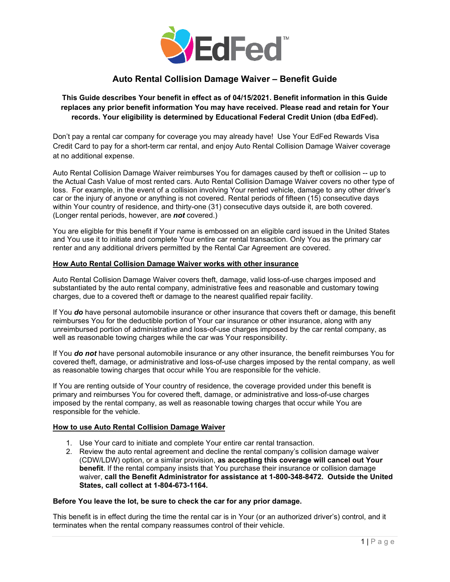

# **Auto Rental Collision Damage Waiver – Benefit Guide**

**This Guide describes Your benefit in effect as of 04/15/2021. Benefit information in this Guide replaces any prior benefit information You may have received. Please read and retain for Your records. Your eligibility is determined by Educational Federal Credit Union (dba EdFed).**

Don't pay a rental car company for coverage you may already have! Use Your EdFed Rewards Visa Credit Card to pay for a short-term car rental, and enjoy Auto Rental Collision Damage Waiver coverage at no additional expense.

Auto Rental Collision Damage Waiver reimburses You for damages caused by theft or collision -- up to the Actual Cash Value of most rented cars. Auto Rental Collision Damage Waiver covers no other type of loss. For example, in the event of a collision involving Your rented vehicle, damage to any other driver's car or the injury of anyone or anything is not covered. Rental periods of fifteen (15) consecutive days within Your country of residence, and thirty-one (31) consecutive days outside it, are both covered. (Longer rental periods, however, are *not* covered.)

You are eligible for this benefit if Your name is embossed on an eligible card issued in the United States and You use it to initiate and complete Your entire car rental transaction. Only You as the primary car renter and any additional drivers permitted by the Rental Car Agreement are covered.

#### **How Auto Rental Collision Damage Waiver works with other insurance**

Auto Rental Collision Damage Waiver covers theft, damage, valid loss-of-use charges imposed and substantiated by the auto rental company, administrative fees and reasonable and customary towing charges, due to a covered theft or damage to the nearest qualified repair facility.

If You *do* have personal automobile insurance or other insurance that covers theft or damage, this benefit reimburses You for the deductible portion of Your car insurance or other insurance, along with any unreimbursed portion of administrative and loss-of-use charges imposed by the car rental company, as well as reasonable towing charges while the car was Your responsibility.

If You *do not* have personal automobile insurance or any other insurance, the benefit reimburses You for covered theft, damage, or administrative and loss-of-use charges imposed by the rental company, as well as reasonable towing charges that occur while You are responsible for the vehicle.

If You are renting outside of Your country of residence, the coverage provided under this benefit is primary and reimburses You for covered theft, damage, or administrative and loss-of-use charges imposed by the rental company, as well as reasonable towing charges that occur while You are responsible for the vehicle.

## **How to use Auto Rental Collision Damage Waiver**

- 1. Use Your card to initiate and complete Your entire car rental transaction.
- 2. Review the auto rental agreement and decline the rental company's collision damage waiver (CDW/LDW) option, or a similar provision, **as accepting this coverage will cancel out Your benefit**. If the rental company insists that You purchase their insurance or collision damage waiver, **call the Benefit Administrator for assistance at 1-800-348-8472. Outside the United States, call collect at 1-804-673-1164.**

#### **Before You leave the lot, be sure to check the car for any prior damage.**

This benefit is in effect during the time the rental car is in Your (or an authorized driver's) control, and it terminates when the rental company reassumes control of their vehicle.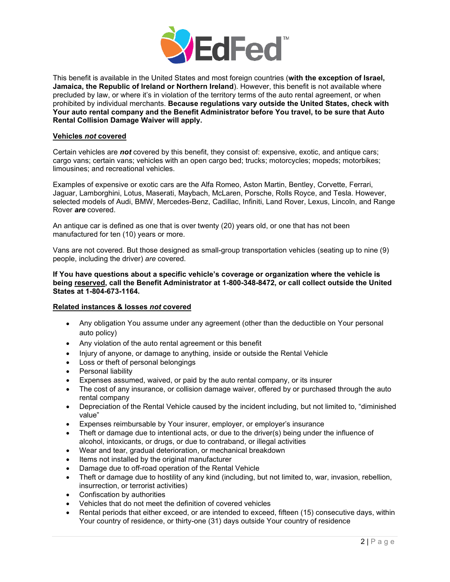

This benefit is available in the United States and most foreign countries (**with the exception of Israel, Jamaica, the Republic of Ireland or Northern Ireland**). However, this benefit is not available where precluded by law, or where it's in violation of the territory terms of the auto rental agreement, or when prohibited by individual merchants. **Because regulations vary outside the United States, check with Your auto rental company and the Benefit Administrator before You travel, to be sure that Auto Rental Collision Damage Waiver will apply.**

#### **Vehicles** *not* **covered**

Certain vehicles are *not* covered by this benefit, they consist of: expensive, exotic, and antique cars; cargo vans; certain vans; vehicles with an open cargo bed; trucks; motorcycles; mopeds; motorbikes; limousines; and recreational vehicles.

Examples of expensive or exotic cars are the Alfa Romeo, Aston Martin, Bentley, Corvette, Ferrari, Jaguar, Lamborghini, Lotus, Maserati, Maybach, McLaren, Porsche, Rolls Royce, and Tesla. However, selected models of Audi, BMW, Mercedes-Benz, Cadillac, Infiniti, Land Rover, Lexus, Lincoln, and Range Rover *are* covered.

An antique car is defined as one that is over twenty (20) years old, or one that has not been manufactured for ten (10) years or more.

Vans are not covered. But those designed as small-group transportation vehicles (seating up to nine (9) people, including the driver) *are* covered.

**If You have questions about a specific vehicle's coverage or organization where the vehicle is being reserved, call the Benefit Administrator at 1-800-348-8472, or call collect outside the United States at 1-804-673-1164.** 

#### **Related instances & losses** *not* **covered**

- Any obligation You assume under any agreement (other than the deductible on Your personal auto policy)
- Any violation of the auto rental agreement or this benefit
- Injury of anyone, or damage to anything, inside or outside the Rental Vehicle
- Loss or theft of personal belongings
- Personal liability
- Expenses assumed, waived, or paid by the auto rental company, or its insurer
- The cost of any insurance, or collision damage waiver, offered by or purchased through the auto rental company
- Depreciation of the Rental Vehicle caused by the incident including, but not limited to, "diminished value"
- Expenses reimbursable by Your insurer, employer, or employer's insurance
- Theft or damage due to intentional acts, or due to the driver(s) being under the influence of alcohol, intoxicants, or drugs, or due to contraband, or illegal activities
- Wear and tear, gradual deterioration, or mechanical breakdown
- Items not installed by the original manufacturer
- Damage due to off-road operation of the Rental Vehicle
- Theft or damage due to hostility of any kind (including, but not limited to, war, invasion, rebellion, insurrection, or terrorist activities)
- Confiscation by authorities
- Vehicles that do not meet the definition of covered vehicles
- Rental periods that either exceed, or are intended to exceed, fifteen (15) consecutive days, within Your country of residence, or thirty-one (31) days outside Your country of residence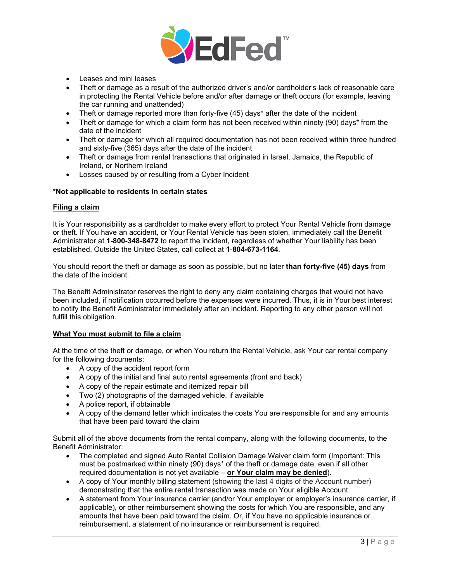

- Leases and mini leases
- Theft or damage as a result of the authorized driver's and/or cardholder's lack of reasonable care in protecting the Rental Vehicle before and/or after damage or theft occurs (for example, leaving the car running and unattended)
- Theft or damage reported more than forty-five (45) days\* after the date of the incident
- Theft or damage for which a claim form has not been received within ninety (90) days\* from the date of the incident
- Theft or damage for which all required documentation has not been received within three hundred and sixty-five (365) days after the date of the incident
- Theft or damage from rental transactions that originated in Israel, Jamaica, the Republic of Ireland, or Northern Ireland
- Losses caused by or resulting from a Cyber Incident

#### **\*Not applicable to residents in certain states**

#### **Filing a claim**

It is Your responsibility as a cardholder to make every effort to protect Your Rental Vehicle from damage or theft. If You have an accident, or Your Rental Vehicle has been stolen, immediately call the Benefit Administrator at **1-800-348-8472** to report the incident, regardless of whether Your liability has been established. Outside the United States, call collect at **1**-**804-673-1164**.

You should report the theft or damage as soon as possible, but no later **than forty-five (45) days** from the date of the incident.

The Benefit Administrator reserves the right to deny any claim containing charges that would not have been included, if notification occurred before the expenses were incurred. Thus, it is in Your best interest to notify the Benefit Administrator immediately after an incident. Reporting to any other person will not fulfill this obligation.

#### **What You must submit to file a claim**

At the time of the theft or damage, or when You return the Rental Vehicle, ask Your car rental company for the following documents:

- A copy of the accident report form
- A copy of the initial and final auto rental agreements (front and back)
- A copy of the repair estimate and itemized repair bill
- Two (2) photographs of the damaged vehicle, if available
- A police report, if obtainable
- A copy of the demand letter which indicates the costs You are responsible for and any amounts that have been paid toward the claim

Submit all of the above documents from the rental company, along with the following documents, to the Benefit Administrator:

- The completed and signed Auto Rental Collision Damage Waiver claim form (Important: This must be postmarked within ninety (90) days\* of the theft or damage date, even if all other required documentation is not yet available – **or Your claim may be denied**).
- A copy of Your monthly billing statement (showing the last 4 digits of the Account number) demonstrating that the entire rental transaction was made on Your eligible Account.
- A statement from Your insurance carrier (and/or Your employer or employer's insurance carrier, if applicable), or other reimbursement showing the costs for which You are responsible, and any amounts that have been paid toward the claim. Or, if You have no applicable insurance or reimbursement, a statement of no insurance or reimbursement is required.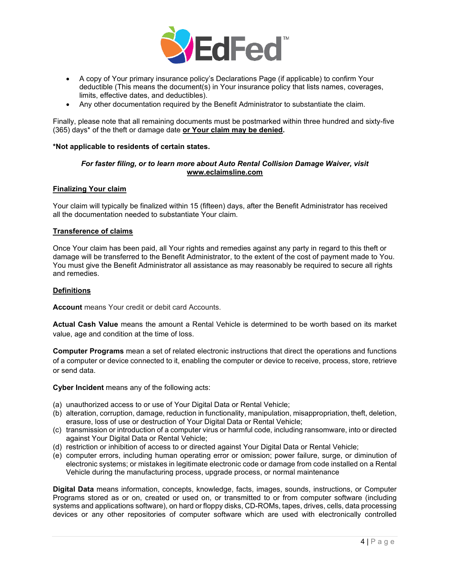

- A copy of Your primary insurance policy's Declarations Page (if applicable) to confirm Your deductible (This means the document(s) in Your insurance policy that lists names, coverages, limits, effective dates, and deductibles).
- Any other documentation required by the Benefit Administrator to substantiate the claim.

Finally, please note that all remaining documents must be postmarked within three hundred and sixty-five (365) days\* of the theft or damage date **or Your claim may be denied.**

#### **\*Not applicable to residents of certain states.**

### *For faster filing, or to learn more about Auto Rental Collision Damage Waiver, visit* **[www.eclaimsline.com](http://www.eclaimsline.com/)**

#### **Finalizing Your claim**

Your claim will typically be finalized within 15 (fifteen) days, after the Benefit Administrator has received all the documentation needed to substantiate Your claim.

#### **Transference of claims**

Once Your claim has been paid, all Your rights and remedies against any party in regard to this theft or damage will be transferred to the Benefit Administrator, to the extent of the cost of payment made to You. You must give the Benefit Administrator all assistance as may reasonably be required to secure all rights and remedies.

#### **Definitions**

**Account** means Your credit or debit card Accounts.

**Actual Cash Value** means the amount a Rental Vehicle is determined to be worth based on its market value, age and condition at the time of loss.

**Computer Programs** mean a set of related electronic instructions that direct the operations and functions of a computer or device connected to it, enabling the computer or device to receive, process, store, retrieve or send data.

**Cyber Incident** means any of the following acts:

- (a) unauthorized access to or use of Your Digital Data or Rental Vehicle;
- (b) alteration, corruption, damage, reduction in functionality, manipulation, misappropriation, theft, deletion, erasure, loss of use or destruction of Your Digital Data or Rental Vehicle;
- (c) transmission or introduction of a computer virus or harmful code, including ransomware, into or directed against Your Digital Data or Rental Vehicle;
- (d) restriction or inhibition of access to or directed against Your Digital Data or Rental Vehicle;
- (e) computer errors, including human operating error or omission; power failure, surge, or diminution of electronic systems; or mistakes in legitimate electronic code or damage from code installed on a Rental Vehicle during the manufacturing process, upgrade process, or normal maintenance

**Digital Data** means information, concepts, knowledge, facts, images, sounds, instructions, or Computer Programs stored as or on, created or used on, or transmitted to or from computer software (including systems and applications software), on hard or floppy disks, CD-ROMs, tapes, drives, cells, data processing devices or any other repositories of computer software which are used with electronically controlled